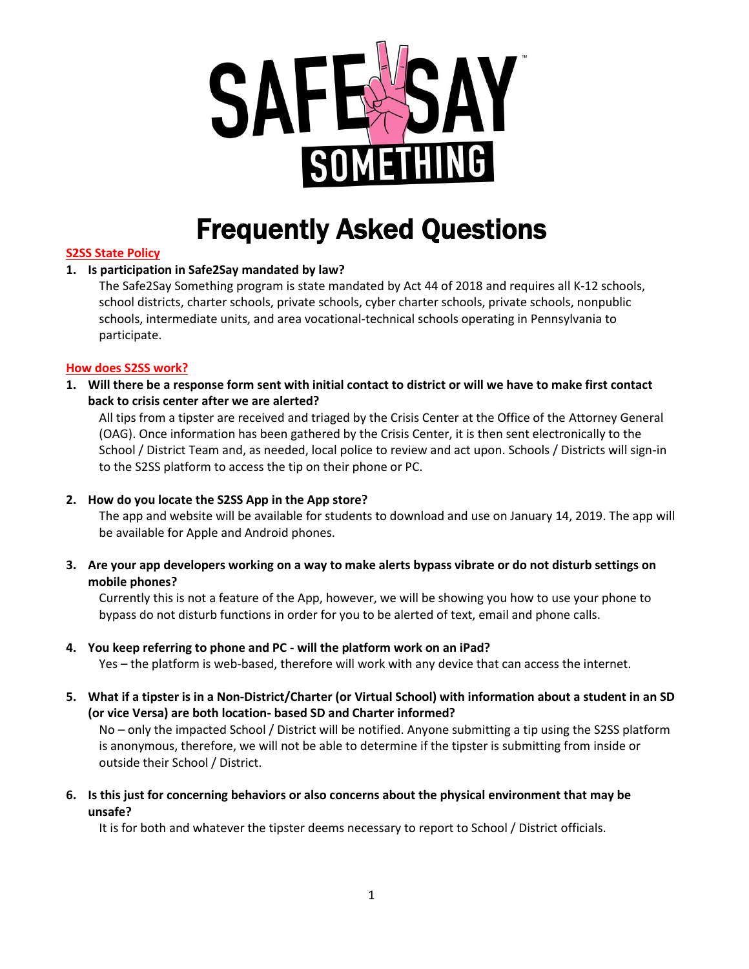

# Frequently Asked Questions

# **S2SS State Policy**

# **1. Is participation in Safe2Say mandated by law?**

The Safe2Say Something program is state mandated by Act 44 of 2018 and requires all K-12 schools, school districts, charter schools, private schools, cyber charter schools, private schools, nonpublic schools, intermediate units, and area vocational-technical schools operating in Pennsylvania to participate.

# **How does S2SS work?**

**1. Will there be a response form sent with initial contact to district or will we have to make first contact back to crisis center after we are alerted?** 

All tips from a tipster are received and triaged by the Crisis Center at the Office of the Attorney General (OAG). Once information has been gathered by the Crisis Center, it is then sent electronically to the School / District Team and, as needed, local police to review and act upon. Schools / Districts will sign-in to the S2SS platform to access the tip on their phone or PC.

# **2. How do you locate the S2SS App in the App store?**

The app and website will be available for students to download and use on January 14, 2019. The app will be available for Apple and Android phones.

**3. Are your app developers working on a way to make alerts bypass vibrate or do not disturb settings on mobile phones?**

Currently this is not a feature of the App, however, we will be showing you how to use your phone to bypass do not disturb functions in order for you to be alerted of text, email and phone calls.

# **4. You keep referring to phone and PC - will the platform work on an iPad?**

Yes – the platform is web-based, therefore will work with any device that can access the internet.

**5. What if a tipster is in a Non-District/Charter (or Virtual School) with information about a student in an SD (or vice Versa) are both location- based SD and Charter informed?** 

No – only the impacted School / District will be notified. Anyone submitting a tip using the S2SS platform is anonymous, therefore, we will not be able to determine if the tipster is submitting from inside or outside their School / District.

**6. Is this just for concerning behaviors or also concerns about the physical environment that may be unsafe?** 

It is for both and whatever the tipster deems necessary to report to School / District officials.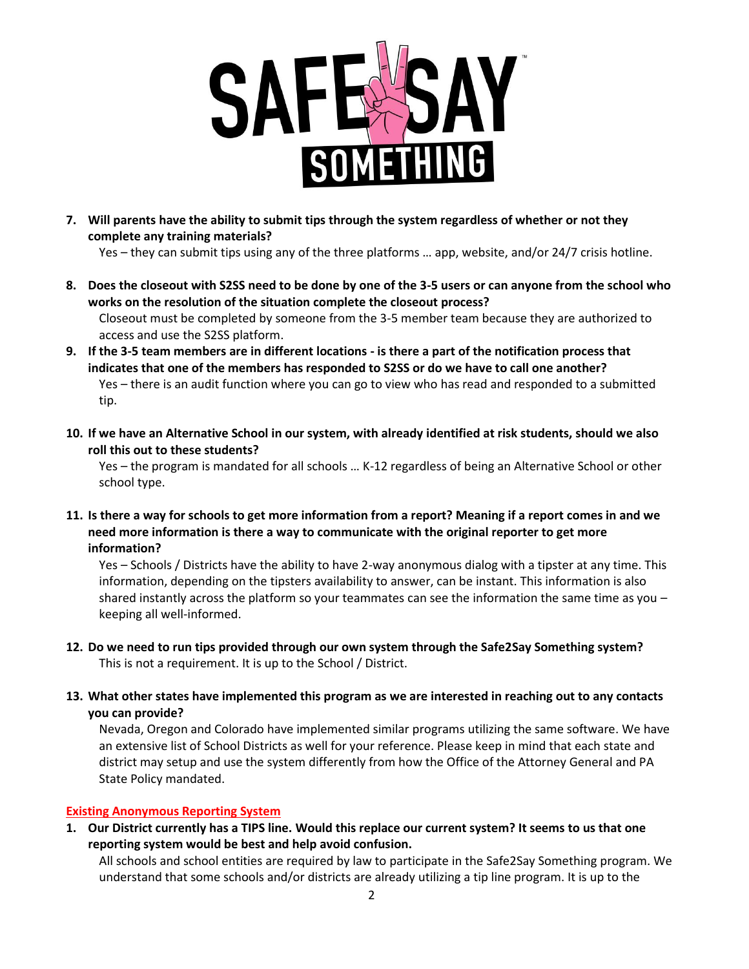

**7. Will parents have the ability to submit tips through the system regardless of whether or not they complete any training materials?**

Yes – they can submit tips using any of the three platforms … app, website, and/or 24/7 crisis hotline.

- **8. Does the closeout with S2SS need to be done by one of the 3-5 users or can anyone from the school who works on the resolution of the situation complete the closeout process?** Closeout must be completed by someone from the 3-5 member team because they are authorized to access and use the S2SS platform.
- **9. If the 3-5 team members are in different locations - is there a part of the notification process that indicates that one of the members has responded to S2SS or do we have to call one another?** Yes – there is an audit function where you can go to view who has read and responded to a submitted tip.
- **10. If we have an Alternative School in our system, with already identified at risk students, should we also roll this out to these students?**

Yes – the program is mandated for all schools … K-12 regardless of being an Alternative School or other school type.

**11. Is there a way for schools to get more information from a report? Meaning if a report comes in and we need more information is there a way to communicate with the original reporter to get more information?** 

Yes – Schools / Districts have the ability to have 2-way anonymous dialog with a tipster at any time. This information, depending on the tipsters availability to answer, can be instant. This information is also shared instantly across the platform so your teammates can see the information the same time as you – keeping all well-informed.

- **12. Do we need to run tips provided through our own system through the Safe2Say Something system?** This is not a requirement. It is up to the School / District.
- **13. What other states have implemented this program as we are interested in reaching out to any contacts you can provide?**

Nevada, Oregon and Colorado have implemented similar programs utilizing the same software. We have an extensive list of School Districts as well for your reference. Please keep in mind that each state and district may setup and use the system differently from how the Office of the Attorney General and PA State Policy mandated.

# **Existing Anonymous Reporting System**

**1. Our District currently has a TIPS line. Would this replace our current system? It seems to us that one reporting system would be best and help avoid confusion.**

All schools and school entities are required by law to participate in the Safe2Say Something program. We understand that some schools and/or districts are already utilizing a tip line program. It is up to the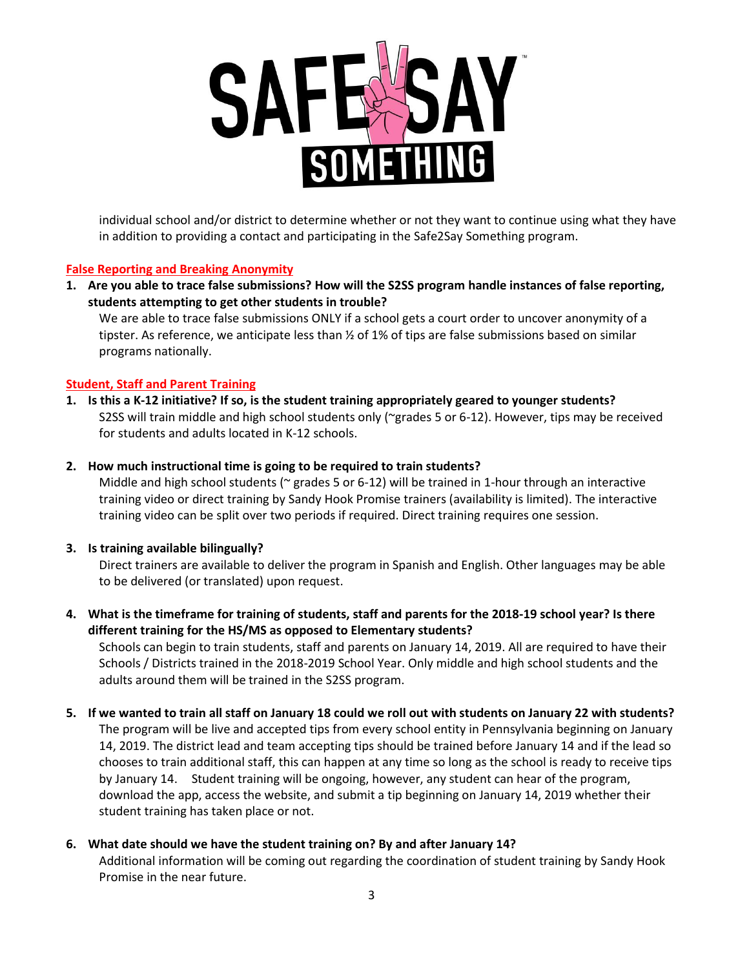

individual school and/or district to determine whether or not they want to continue using what they have in addition to providing a contact and participating in the Safe2Say Something program.

# **False Reporting and Breaking Anonymity**

**1. Are you able to trace false submissions? How will the S2SS program handle instances of false reporting, students attempting to get other students in trouble?**

We are able to trace false submissions ONLY if a school gets a court order to uncover anonymity of a tipster. As reference, we anticipate less than  $\frac{1}{2}$  of 1% of tips are false submissions based on similar programs nationally.

# **Student, Staff and Parent Training**

**1. Is this a K-12 initiative? If so, is the student training appropriately geared to younger students?** S2SS will train middle and high school students only (~grades 5 or 6-12). However, tips may be received for students and adults located in K-12 schools.

# **2. How much instructional time is going to be required to train students?**

Middle and high school students ( $\approx$  grades 5 or 6-12) will be trained in 1-hour through an interactive training video or direct training by Sandy Hook Promise trainers (availability is limited). The interactive training video can be split over two periods if required. Direct training requires one session.

# **3. Is training available bilingually?**

Direct trainers are available to deliver the program in Spanish and English. Other languages may be able to be delivered (or translated) upon request.

# **4. What is the timeframe for training of students, staff and parents for the 2018-19 school year? Is there different training for the HS/MS as opposed to Elementary students?**

Schools can begin to train students, staff and parents on January 14, 2019. All are required to have their Schools / Districts trained in the 2018-2019 School Year. Only middle and high school students and the adults around them will be trained in the S2SS program.

#### **5. If we wanted to train all staff on January 18 could we roll out with students on January 22 with students?** The program will be live and accepted tips from every school entity in Pennsylvania beginning on January

14, 2019. The district lead and team accepting tips should be trained before January 14 and if the lead so chooses to train additional staff, this can happen at any time so long as the school is ready to receive tips by January 14. Student training will be ongoing, however, any student can hear of the program, download the app, access the website, and submit a tip beginning on January 14, 2019 whether their student training has taken place or not.

# **6. What date should we have the student training on? By and after January 14?**

Additional information will be coming out regarding the coordination of student training by Sandy Hook Promise in the near future.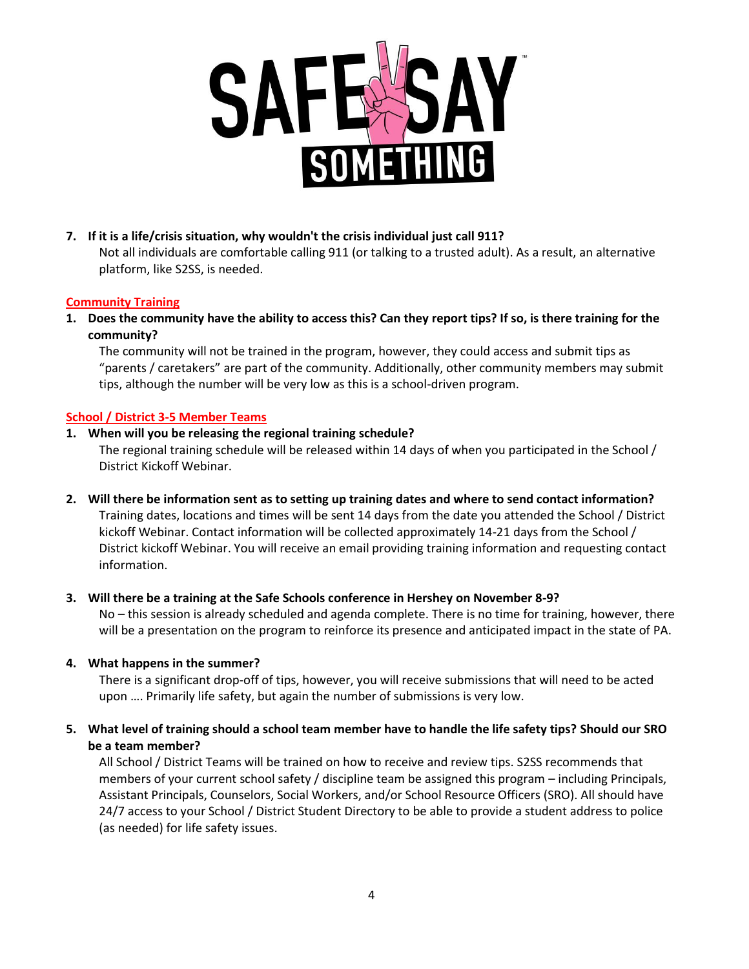

# **7. If it is a life/crisis situation, why wouldn't the crisis individual just call 911?**

Not all individuals are comfortable calling 911 (or talking to a trusted adult). As a result, an alternative platform, like S2SS, is needed.

# **Community Training**

**1. Does the community have the ability to access this? Can they report tips? If so, is there training for the community?**

The community will not be trained in the program, however, they could access and submit tips as "parents / caretakers" are part of the community. Additionally, other community members may submit tips, although the number will be very low as this is a school-driven program.

# **School / District 3-5 Member Teams**

#### **1. When will you be releasing the regional training schedule?**

The regional training schedule will be released within 14 days of when you participated in the School / District Kickoff Webinar.

**2. Will there be information sent as to setting up training dates and where to send contact information?** Training dates, locations and times will be sent 14 days from the date you attended the School / District kickoff Webinar. Contact information will be collected approximately 14-21 days from the School / District kickoff Webinar. You will receive an email providing training information and requesting contact information.

#### **3. Will there be a training at the Safe Schools conference in Hershey on November 8-9?**

No – this session is already scheduled and agenda complete. There is no time for training, however, there will be a presentation on the program to reinforce its presence and anticipated impact in the state of PA.

#### **4. What happens in the summer?**

There is a significant drop-off of tips, however, you will receive submissions that will need to be acted upon …. Primarily life safety, but again the number of submissions is very low.

**5. What level of training should a school team member have to handle the life safety tips? Should our SRO be a team member?**

All School / District Teams will be trained on how to receive and review tips. S2SS recommends that members of your current school safety / discipline team be assigned this program – including Principals, Assistant Principals, Counselors, Social Workers, and/or School Resource Officers (SRO). All should have 24/7 access to your School / District Student Directory to be able to provide a student address to police (as needed) for life safety issues.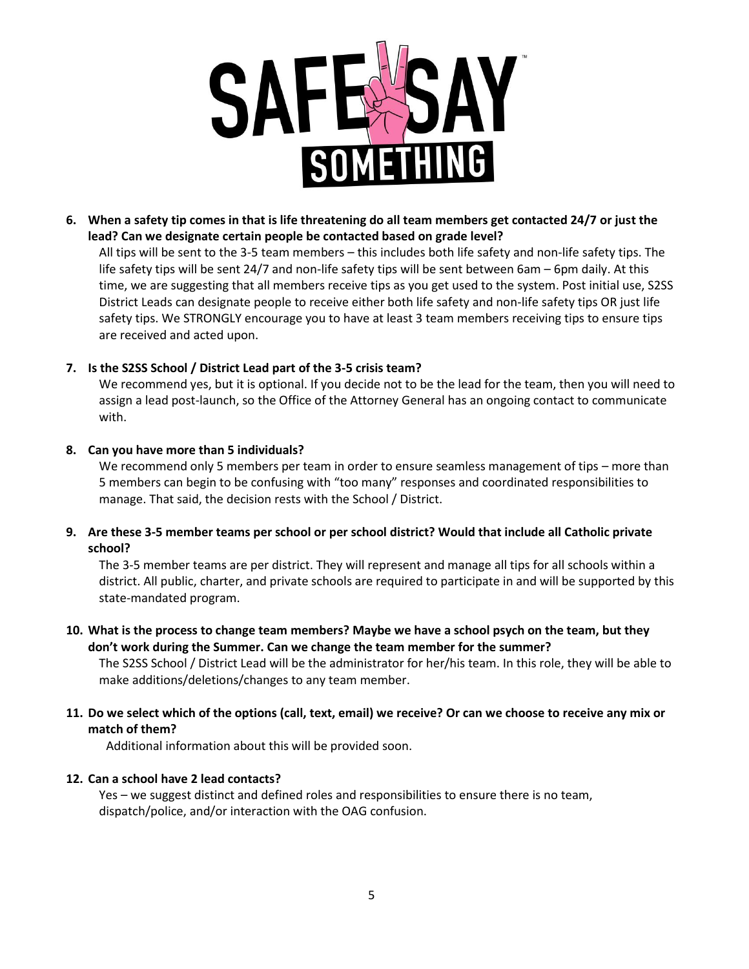

**6. When a safety tip comes in that is life threatening do all team members get contacted 24/7 or just the lead? Can we designate certain people be contacted based on grade level?**

All tips will be sent to the 3-5 team members – this includes both life safety and non-life safety tips. The life safety tips will be sent 24/7 and non-life safety tips will be sent between 6am – 6pm daily. At this time, we are suggesting that all members receive tips as you get used to the system. Post initial use, S2SS District Leads can designate people to receive either both life safety and non-life safety tips OR just life safety tips. We STRONGLY encourage you to have at least 3 team members receiving tips to ensure tips are received and acted upon.

# **7. Is the S2SS School / District Lead part of the 3-5 crisis team?**

We recommend yes, but it is optional. If you decide not to be the lead for the team, then you will need to assign a lead post-launch, so the Office of the Attorney General has an ongoing contact to communicate with.

# **8. Can you have more than 5 individuals?**

We recommend only 5 members per team in order to ensure seamless management of tips - more than 5 members can begin to be confusing with "too many" responses and coordinated responsibilities to manage. That said, the decision rests with the School / District.

**9. Are these 3-5 member teams per school or per school district? Would that include all Catholic private school?**

The 3-5 member teams are per district. They will represent and manage all tips for all schools within a district. All public, charter, and private schools are required to participate in and will be supported by this state-mandated program.

# **10. What is the process to change team members? Maybe we have a school psych on the team, but they don't work during the Summer. Can we change the team member for the summer?**

The S2SS School / District Lead will be the administrator for her/his team. In this role, they will be able to make additions/deletions/changes to any team member.

**11. Do we select which of the options (call, text, email) we receive? Or can we choose to receive any mix or match of them?** 

Additional information about this will be provided soon.

# **12. Can a school have 2 lead contacts?**

Yes – we suggest distinct and defined roles and responsibilities to ensure there is no team, dispatch/police, and/or interaction with the OAG confusion.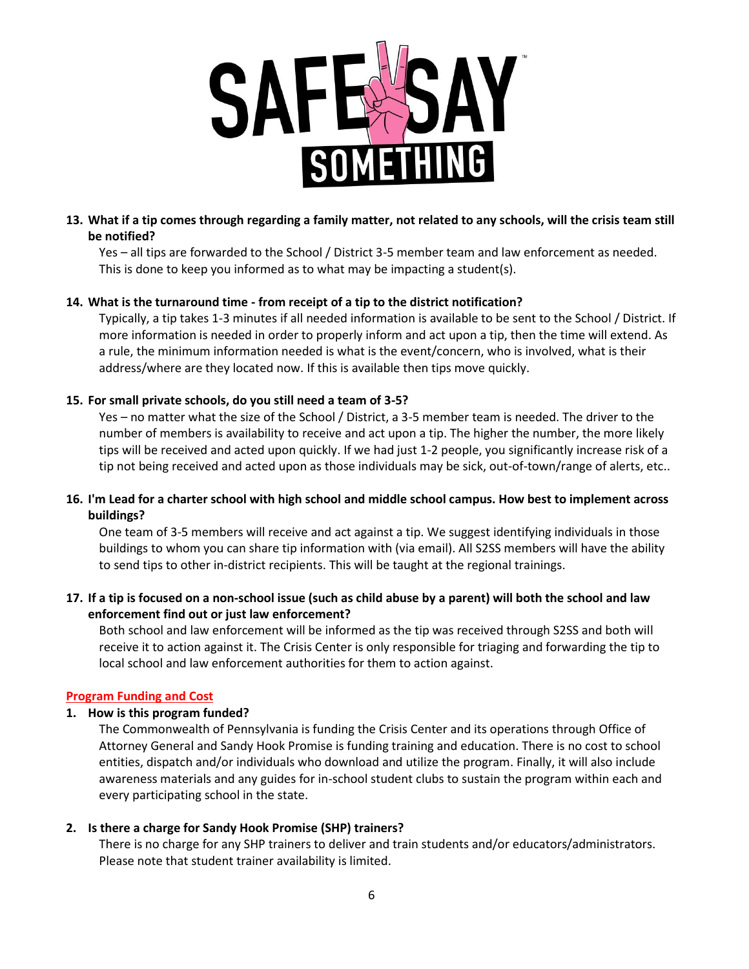

# **13. What if a tip comes through regarding a family matter, not related to any schools, will the crisis team still be notified?**

Yes – all tips are forwarded to the School / District 3-5 member team and law enforcement as needed. This is done to keep you informed as to what may be impacting a student(s).

# **14. What is the turnaround time - from receipt of a tip to the district notification?**

Typically, a tip takes 1-3 minutes if all needed information is available to be sent to the School / District. If more information is needed in order to properly inform and act upon a tip, then the time will extend. As a rule, the minimum information needed is what is the event/concern, who is involved, what is their address/where are they located now. If this is available then tips move quickly.

# **15. For small private schools, do you still need a team of 3-5?**

Yes – no matter what the size of the School / District, a 3-5 member team is needed. The driver to the number of members is availability to receive and act upon a tip. The higher the number, the more likely tips will be received and acted upon quickly. If we had just 1-2 people, you significantly increase risk of a tip not being received and acted upon as those individuals may be sick, out-of-town/range of alerts, etc..

# **16. I'm Lead for a charter school with high school and middle school campus. How best to implement across buildings?**

One team of 3-5 members will receive and act against a tip. We suggest identifying individuals in those buildings to whom you can share tip information with (via email). All S2SS members will have the ability to send tips to other in-district recipients. This will be taught at the regional trainings.

# **17. If a tip is focused on a non-school issue (such as child abuse by a parent) will both the school and law enforcement find out or just law enforcement?**

Both school and law enforcement will be informed as the tip was received through S2SS and both will receive it to action against it. The Crisis Center is only responsible for triaging and forwarding the tip to local school and law enforcement authorities for them to action against.

# **Program Funding and Cost**

# **1. How is this program funded?**

The Commonwealth of Pennsylvania is funding the Crisis Center and its operations through Office of Attorney General and Sandy Hook Promise is funding training and education. There is no cost to school entities, dispatch and/or individuals who download and utilize the program. Finally, it will also include awareness materials and any guides for in-school student clubs to sustain the program within each and every participating school in the state.

# **2. Is there a charge for Sandy Hook Promise (SHP) trainers?**

There is no charge for any SHP trainers to deliver and train students and/or educators/administrators. Please note that student trainer availability is limited.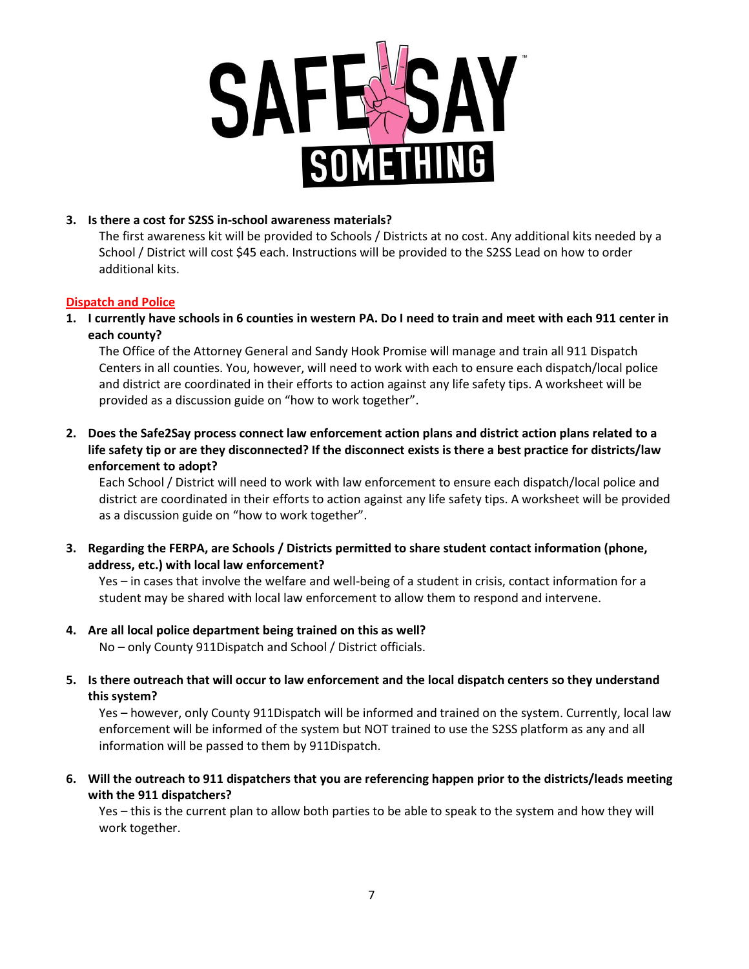

# **3. Is there a cost for S2SS in-school awareness materials?**

The first awareness kit will be provided to Schools / Districts at no cost. Any additional kits needed by a School / District will cost \$45 each. Instructions will be provided to the S2SS Lead on how to order additional kits.

# **Dispatch and Police**

**1. I currently have schools in 6 counties in western PA. Do I need to train and meet with each 911 center in each county?** 

The Office of the Attorney General and Sandy Hook Promise will manage and train all 911 Dispatch Centers in all counties. You, however, will need to work with each to ensure each dispatch/local police and district are coordinated in their efforts to action against any life safety tips. A worksheet will be provided as a discussion guide on "how to work together".

**2. Does the Safe2Say process connect law enforcement action plans and district action plans related to a life safety tip or are they disconnected? If the disconnect exists is there a best practice for districts/law enforcement to adopt?**

Each School / District will need to work with law enforcement to ensure each dispatch/local police and district are coordinated in their efforts to action against any life safety tips. A worksheet will be provided as a discussion guide on "how to work together".

**3. Regarding the FERPA, are Schools / Districts permitted to share student contact information (phone, address, etc.) with local law enforcement?**

Yes – in cases that involve the welfare and well-being of a student in crisis, contact information for a student may be shared with local law enforcement to allow them to respond and intervene.

**4. Are all local police department being trained on this as well?** 

No – only County 911Dispatch and School / District officials.

**5. Is there outreach that will occur to law enforcement and the local dispatch centers so they understand this system?**

Yes – however, only County 911Dispatch will be informed and trained on the system. Currently, local law enforcement will be informed of the system but NOT trained to use the S2SS platform as any and all information will be passed to them by 911Dispatch.

**6. Will the outreach to 911 dispatchers that you are referencing happen prior to the districts/leads meeting with the 911 dispatchers?**

Yes – this is the current plan to allow both parties to be able to speak to the system and how they will work together.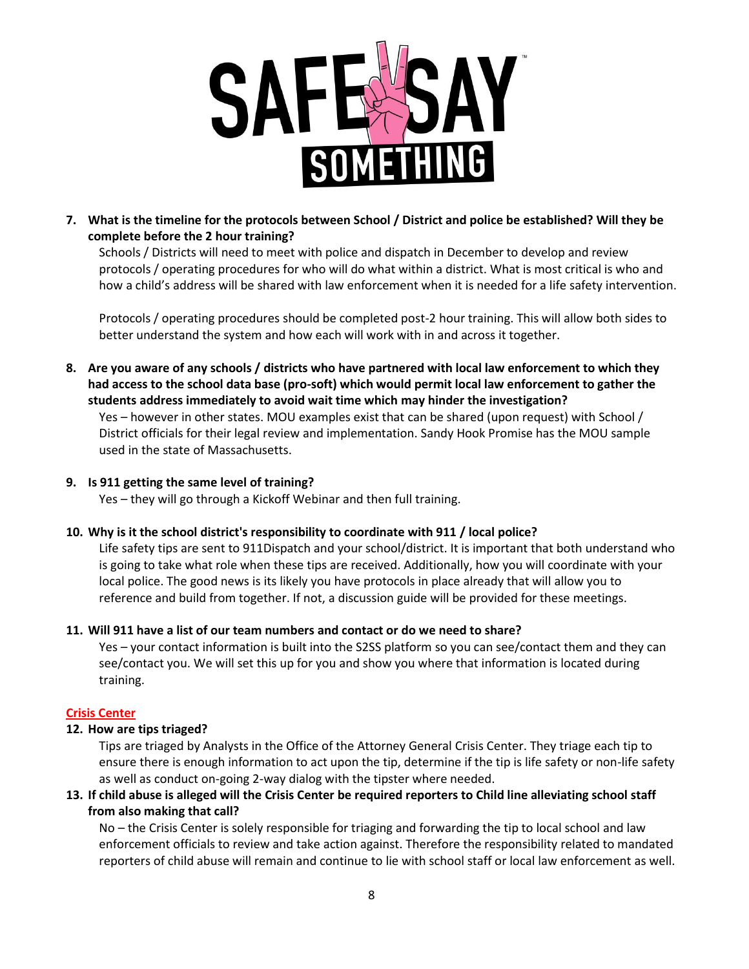

**7. What is the timeline for the protocols between School / District and police be established? Will they be complete before the 2 hour training?**

Schools / Districts will need to meet with police and dispatch in December to develop and review protocols / operating procedures for who will do what within a district. What is most critical is who and how a child's address will be shared with law enforcement when it is needed for a life safety intervention.

Protocols / operating procedures should be completed post-2 hour training. This will allow both sides to better understand the system and how each will work with in and across it together.

**8. Are you aware of any schools / districts who have partnered with local law enforcement to which they had access to the school data base (pro-soft) which would permit local law enforcement to gather the students address immediately to avoid wait time which may hinder the investigation?** 

Yes – however in other states. MOU examples exist that can be shared (upon request) with School / District officials for their legal review and implementation. Sandy Hook Promise has the MOU sample used in the state of Massachusetts.

# **9. Is 911 getting the same level of training?**

Yes – they will go through a Kickoff Webinar and then full training.

# **10. Why is it the school district's responsibility to coordinate with 911 / local police?**

Life safety tips are sent to 911Dispatch and your school/district. It is important that both understand who is going to take what role when these tips are received. Additionally, how you will coordinate with your local police. The good news is its likely you have protocols in place already that will allow you to reference and build from together. If not, a discussion guide will be provided for these meetings.

# **11. Will 911 have a list of our team numbers and contact or do we need to share?**

Yes – your contact information is built into the S2SS platform so you can see/contact them and they can see/contact you. We will set this up for you and show you where that information is located during training.

# **Crisis Center**

# **12. How are tips triaged?**

Tips are triaged by Analysts in the Office of the Attorney General Crisis Center. They triage each tip to ensure there is enough information to act upon the tip, determine if the tip is life safety or non-life safety as well as conduct on-going 2-way dialog with the tipster where needed.

# **13. If child abuse is alleged will the Crisis Center be required reporters to Child line alleviating school staff from also making that call?**

No – the Crisis Center is solely responsible for triaging and forwarding the tip to local school and law enforcement officials to review and take action against. Therefore the responsibility related to mandated reporters of child abuse will remain and continue to lie with school staff or local law enforcement as well.